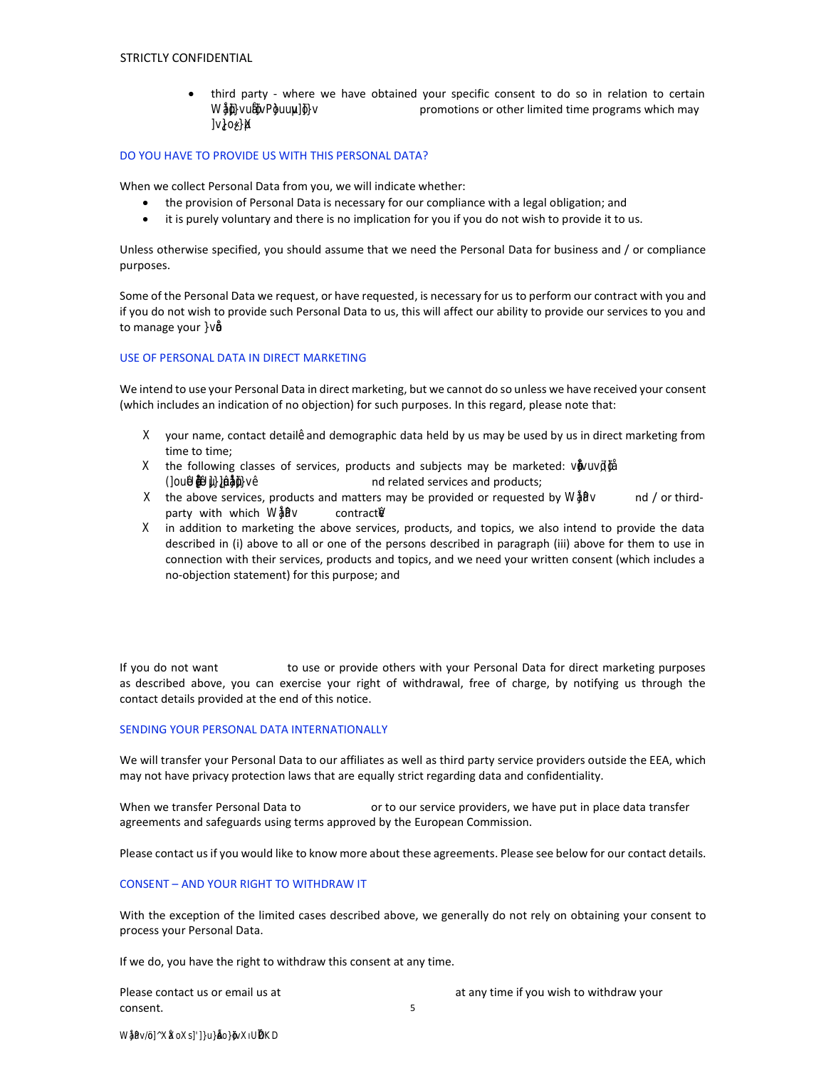third party - where we have obtained your specific consent to do so in relation to certain Production marketing & communication promotions or other limited time programs which may involve you.

## DO YOU HAVE TO PROVIDE US WITH THIS PERSONAL DATA?

When we collect Personal Data from you, we will indicate whether:

- the provision of Personal Data is necessary for our compliance with a legal obligation; and
- it is purely voluntary and there is no implication for you if you do not wish to provide it to us.

Unless otherwise specified, you should assume that we need the Personal Data for business and / or compliance purposes.

Some of the Personal Data we request, or have requested, is necessary for us to perform our contract with you and if you do not wish to provide such Personal Data to us, this will affect our ability to provide our services to you and to manage your contract.

## USE OF PERSONAL DATA IN DIRECT MARKETING

We intend to use your Personal Data in direct marketing, but we cannot do so unless we have received your consent (which includes an indication of no objection) for such purposes. In this regard, please note that:

- a. your name, contact details and demographic data held by us may be used by us in direct marketing from time to time;
- b. the following classes of services, products and subjects may be marketed: entertainment, featire films, tv series, audiovisual productions and related services and products;
- c. the above services, products and matters may be provided or requested by Propaganda and / or thirdparty with which Propaganda contracts;
- d. in addition to marketing the above services, products, and topics, we also intend to provide the data described in (i) above to all or one of the persons described in paragraph (iii) above for them to use in connection with their services, products and topics, and we need your written consent (which includes a no-objection statement) for this purpose; and

If you do not want Propaganda to use or provide others with your Personal Data for direct marketing purposes as described above, you can exercise your right of withdrawal, free of charge, by notifying us through the contact details provided at the end of this notice.

## SENDING YOUR PERSONAL DATA INTERNATIONALLY

We will transfer your Personal Data to our affiliates as well as third party service providers outside the EEA, which may not have privacy protection laws that are equally strict regarding data and confidentiality.

When we transfer Personal Data to our partners or to our service providers, we have put in place data transfer agreements and safeguards using terms approved by the European Commission.

Please contact us if you would like to know more about these agreements. Please see below for our contact details.

## CONSENT – AND YOUR RIGHT TO WITHDRAW IT

With the exception of the limited cases described above, we generally do not rely on obtaining your consent to process your Personal Data.

If we do, you have the right to withdraw this consent at any time.

5 Please contact us or email us at amministrazione@propaganda.it at any time if you wish to withdraw your consent.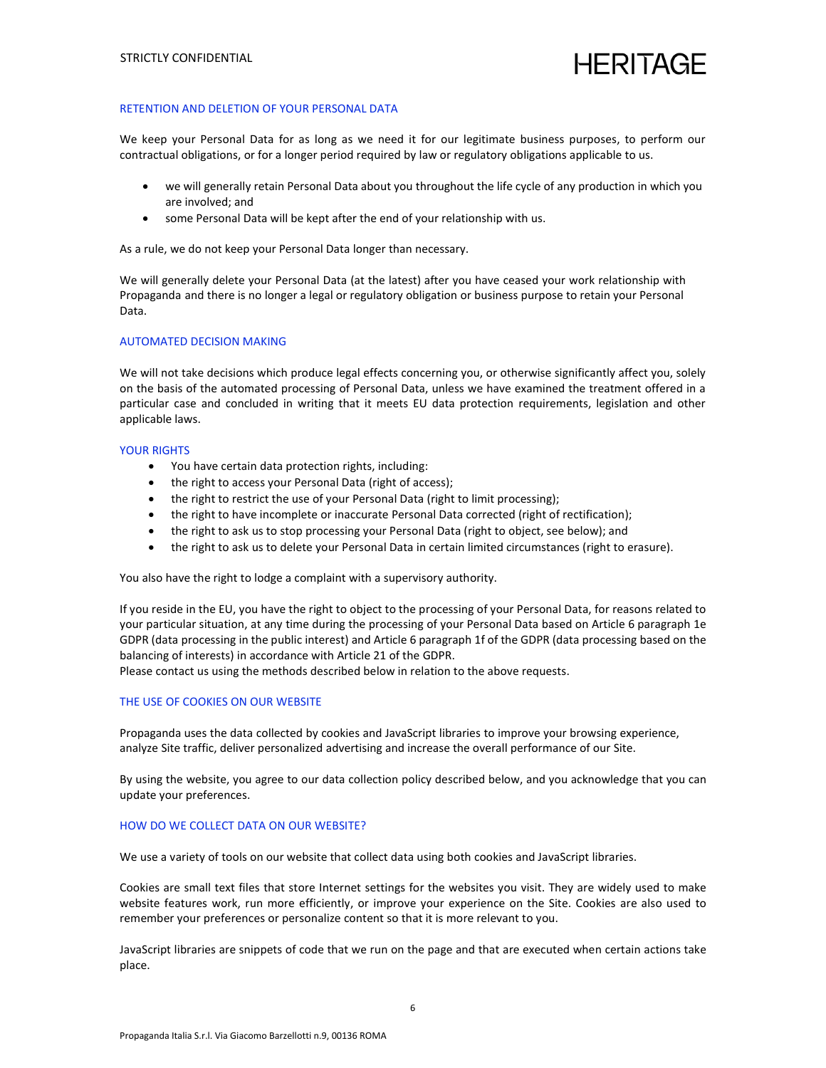# HERITAGE

## RETENTION AND DELETION OF YOUR PERSONAL DATA

We keep your Personal Data for as long as we need it for our legitimate business purposes, to perform our contractual obligations, or for a longer period required by law or regulatory obligations applicable to us.

- we will generally retain Personal Data about you throughout the life cycle of any production in which you are involved; and
- some Personal Data will be kept after the end of your relationship with us.

As a rule, we do not keep your Personal Data longer than necessary.

We will generally delete your Personal Data (at the latest) after you have ceased your work relationship with Propaganda and there is no longer a legal or regulatory obligation or business purpose to retain your Personal Data.

## AUTOMATED DECISION MAKING

We will not take decisions which produce legal effects concerning you, or otherwise significantly affect you, solely on the basis of the automated processing of Personal Data, unless we have examined the treatment offered in a particular case and concluded in writing that it meets EU data protection requirements, legislation and other applicable laws.

## YOUR RIGHTS

- You have certain data protection rights, including:
- the right to access your Personal Data (right of access);
- the right to restrict the use of your Personal Data (right to limit processing);
- the right to have incomplete or inaccurate Personal Data corrected (right of rectification);
- the right to ask us to stop processing your Personal Data (right to object, see below); and
- the right to ask us to delete your Personal Data in certain limited circumstances (right to erasure).

You also have the right to lodge a complaint with a supervisory authority.

If you reside in the EU, you have the right to object to the processing of your Personal Data, for reasons related to your particular situation, at any time during the processing of your Personal Data based on Article 6 paragraph 1e GDPR (data processing in the public interest) and Article 6 paragraph 1f of the GDPR (data processing based on the balancing of interests) in accordance with Article 21 of the GDPR.

Please contact us using the methods described below in relation to the above requests.

## THE USE OF COOKIES ON OUR WEBSITE

Propaganda uses the data collected by cookies and JavaScript libraries to improve your browsing experience, analyze Site traffic, deliver personalized advertising and increase the overall performance of our Site.

By using the website, you agree to our data collection policy described below, and you acknowledge that you can update your preferences.

## HOW DO WE COLLECT DATA ON OUR WEBSITE?

We use a variety of tools on our website that collect data using both cookies and JavaScript libraries.

Cookies are small text files that store Internet settings for the websites you visit. They are widely used to make website features work, run more efficiently, or improve your experience on the Site. Cookies are also used to remember your preferences or personalize content so that it is more relevant to you.

JavaScript libraries are snippets of code that we run on the page and that are executed when certain actions take place.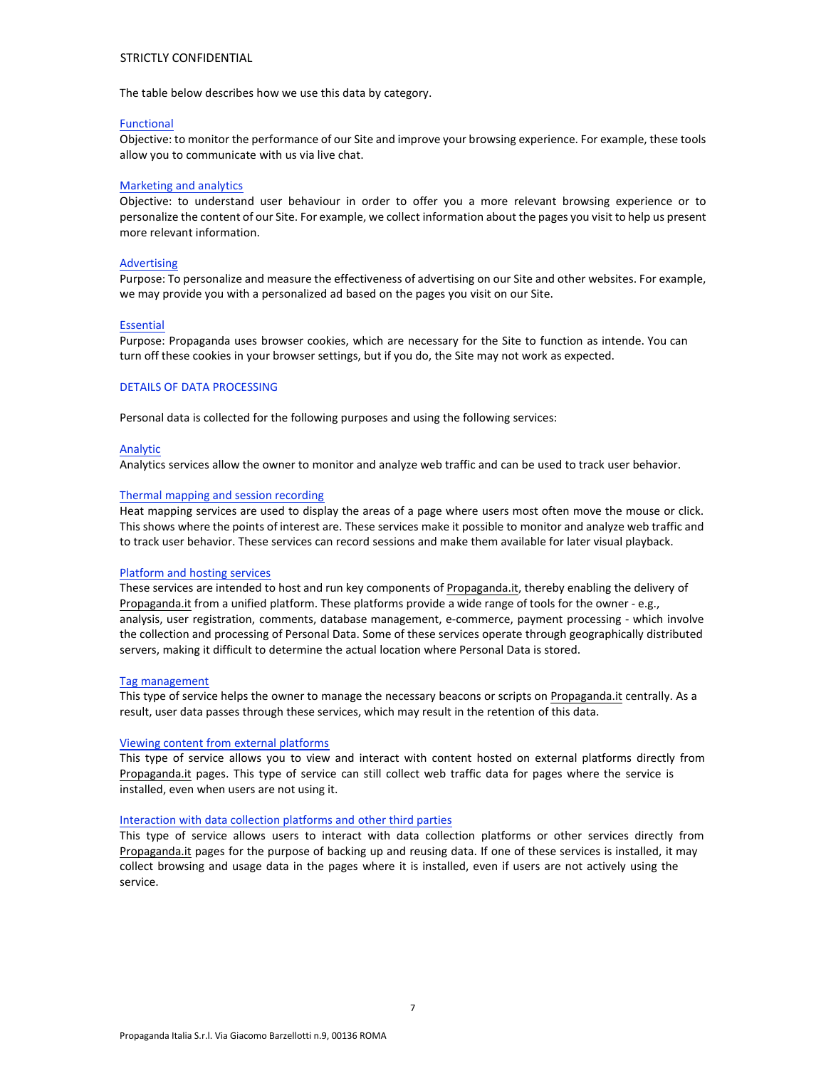## STRICTLY CONFIDENTIAL

The table below describes how we use this data by category.

## Functional

Objective: to monitor the performance of our Site and improve your browsing experience. For example, these tools allow you to communicate with us via live chat.

## Marketing and analytics

Objective: to understand user behaviour in order to offer you a more relevant browsing experience or to personalize the content of our Site. For example, we collect information about the pages you visit to help us present more relevant information.

## Advertising

Purpose: To personalize and measure the effectiveness of advertising on our Site and other websites. For example, we may provide you with a personalized ad based on the pages you visit on our Site.

## Essential

Purpose: Propaganda uses browser cookies, which are necessary for the Site to function as intende. You can turn off these cookies in your browser settings, but if you do, the Site may not work as expected.

## DETAILS OF DATA PROCESSING

Personal data is collected for the following purposes and using the following services:

## Analytic

Analytics services allow the owner to monitor and analyze web traffic and can be used to track user behavior.

## Thermal mapping and session recording

Heat mapping services are used to display the areas of a page where users most often move the mouse or click. This shows where the points of interest are. These services make it possible to monitor and analyze web traffic and to track user behavior. These services can record sessions and make them available for later visual playback.

## Platform and hosting services

These services are intended to host and run key components of Propaganda.it, thereby enabling the delivery of Propaganda.it from a unified platform. These platforms provide a wide range of tools for the owner - e.g., analysis, user registration, comments, database management, e-commerce, payment processing - which involve the collection and processing of Personal Data. Some of these services operate through geographically distributed servers, making it difficult to determine the actual location where Personal Data is stored.

## Tag management

This type of service helps the owner to manage the necessary beacons or scripts on Propaganda.it centrally. As a result, user data passes through these services, which may result in the retention of this data.

## Viewing content from external platforms

This type of service allows you to view and interact with content hosted on external platforms directly from Propaganda.it pages. This type of service can still collect web traffic data for pages where the service is installed, even when users are not using it.

## Interaction with data collection platforms and other third parties

This type of service allows users to interact with data collection platforms or other services directly from Propaganda.it pages for the purpose of backing up and reusing data. If one of these services is installed, it may collect browsing and usage data in the pages where it is installed, even if users are not actively using the service.